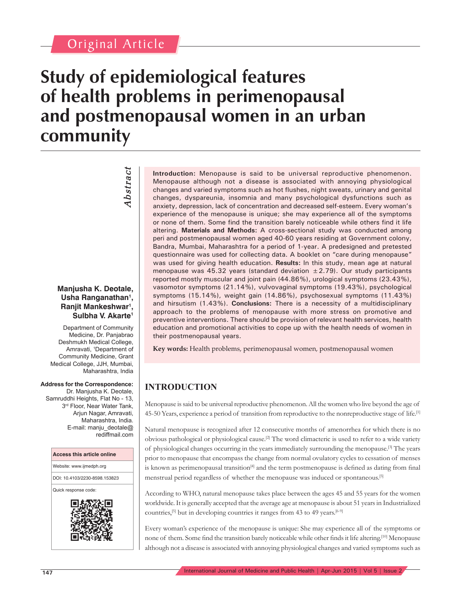## Original Article

# **Study of epidemiological features of health problems in perimenopausal and postmenopausal women in an urban community**

*Abstract* Abstract

#### **Manjusha K. Deotale,**  Usha Ranganathan<sup>1</sup>, **Ranjit Mankeshwar1 , Sulbha V. Akarte1**

Department of Community Medicine, Dr. Panjabrao Deshmukh Medical College, Amravati, 1 Department of Community Medicine, Grant Medical College, JJH, Mumbai, Maharashtra, India

#### **Address for the Correspondence:**

Dr. Manjusha K. Deotale, Samruddhi Heights, Flat No - 13, 3rd Floor, Near Water Tank, Arjun Nagar, Amravati, Maharashtra, India. E-mail: manju\_deotale@ rediffmail.com



**Introduction:** Menopause is said to be universal reproductive phenomenon. Menopause although not a disease is associated with annoying physiological changes and varied symptoms such as hot flushes, night sweats, urinary and genital changes, dyspareunia, insomnia and many psychological dysfunctions such as anxiety, depression, lack of concentration and decreased self-esteem. Every woman's experience of the menopause is unique; she may experience all of the symptoms or none of them. Some find the transition barely noticeable while others find it life altering. **Materials and Methods:** A cross-sectional study was conducted among peri and postmenopausal women aged 40-60 years residing at Government colony, Bandra, Mumbai, Maharashtra for a period of 1-year. A predesigned and pretested questionnaire was used for collecting data. A booklet on "care during menopause" was used for giving health education. **Results:** In this study, mean age at natural menopause was 45.32 years (standard deviation  $\pm$  2.79). Our study participants reported mostly muscular and joint pain (44.86%), urological symptoms (23.43%), vasomotor symptoms (21.14%), vulvovaginal symptoms (19.43%), psychological symptoms (15.14%), weight gain (14.86%), psychosexual symptoms (11.43%) and hirsutism (1.43%). **Conclusions:** There is a necessity of a multidisciplinary approach to the problems of menopause with more stress on promotive and preventive interventions. There should be provision of relevant health services, health education and promotional activities to cope up with the health needs of women in their postmenopausal years.

**Key words:** Health problems, perimenopausal women, postmenopausal women

### **INTRODUCTION**

Menopause is said to be universal reproductive phenomenon. All the women who live beyond the age of 45-50 Years, experience a period of transition from reproductive to the nonreproductive stage of life.[1]

Natural menopause is recognized after 12 consecutive months of amenorrhea for which there is no obvious pathological or physiological cause.[2] The word climacteric is used to refer to a wide variety of physiological changes occurring in the years immediately surrounding the menopause.[3] The years prior to menopause that encompass the change from normal ovulatory cycles to cessation of menses is known as perimenopausal transition<sup>[4]</sup> and the term postmenopause is defined as dating from final menstrual period regardless of whether the menopause was induced or spontaneous.[5]

According to WHO, natural menopause takes place between the ages 45 and 55 years for the women worldwide. It is generally accepted that the average age at menopause is about 51 years in Industrialized countries,<sup>[5]</sup> but in developing countries it ranges from 43 to 49 years.<sup>[6-9]</sup>

Every woman's experience of the menopause is unique: She may experience all of the symptoms or none of them. Some find the transition barely noticeable while other finds it life altering.<sup>[10]</sup> Menopause although not a disease is associated with annoying physiological changes and varied symptoms such as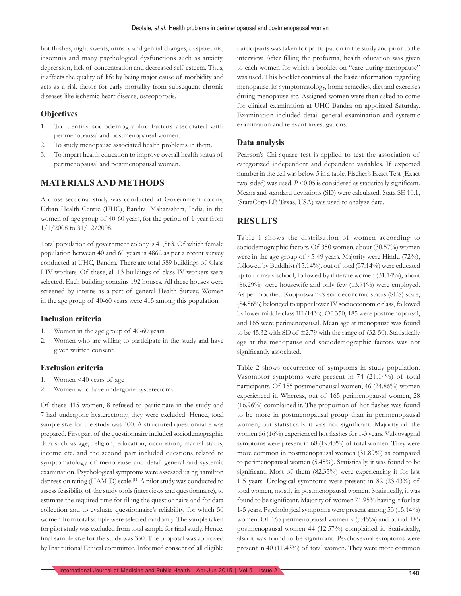hot flushes, night sweats, urinary and genital changes, dyspareunia, insomnia and many psychological dysfunctions such as anxiety, depression, lack of concentration and decreased self-esteem. Thus, it affects the quality of life by being major cause of morbidity and acts as a risk factor for early mortality from subsequent chronic diseases like ischemic heart disease, osteoporosis.

#### **Objectives**

- 1. To identify sociodemographic factors associated with perimenopausal and postmenopausal women.
- 2. To study menopause associated health problems in them.
- 3. To impart health education to improve overall health status of perimenopausal and postmenopausal women.

#### **MATERIALS AND METHODS**

A cross-sectional study was conducted at Government colony, Urban Health Centre (UHC), Bandra, Maharashtra, India, in the women of age group of 40-60 years, for the period of 1-year from 1/1/2008 to 31/12/2008.

Total population of government colony is 41,863. Of which female population between 40 and 60 years is 4862 as per a recent survey conducted at UHC, Bandra. There are total 389 buildings of Class I-IV workers. Of these, all 13 buildings of class IV workers were selected. Each building contains 192 houses. All these houses were screened by interns as a part of general Health Survey. Women in the age group of 40-60 years were 415 among this population.

#### **Inclusion criteria**

- 1. Women in the age group of 40-60 years
- 2. Women who are willing to participate in the study and have given written consent.

#### **Exclusion criteria**

- 1. Women <40 years of age
- 2. Women who have undergone hysterectomy

Of these 415 women, 8 refused to participate in the study and 7 had undergone hysterectomy, they were excluded. Hence, total sample size for the study was 400. A structured questionnaire was prepared. First part of the questionnaire included sociodemographic data such as age, religion, education, occupation, marital status, income etc. and the second part included questions related to symptomatology of menopause and detail general and systemic examination. Psychological symptoms were assessed using hamilton depression rating (HAM-D) scale.<sup>[11]</sup> A pilot study was conducted to assess feasibility of the study tools (interviews and questionnaire), to estimate the required time for filling the questionnaire and for data collection and to evaluate questionnaire's reliability, for which 50 women from total sample were selected randomly. The sample taken for pilot study was excluded from total sample for final study. Hence, final sample size for the study was 350. The proposal was approved by Institutional Ethical committee. Informed consent of all eligible

participants was taken for participation in the study and prior to the interview. After filling the proforma, health education was given to each women for which a booklet on "care during menopause" was used. This booklet contains all the basic information regarding menopause, its symptomatology, home remedies, diet and exercises during menopause etc. Assigned women were then asked to come for clinical examination at UHC Bandra on appointed Saturday. Examination included detail general examination and systemic examination and relevant investigations.

#### **Data analysis**

Pearson's Chi-square test is applied to test the association of categorized independent and dependent variables. If expected number in the cell was below 5 in a table, Fischer's Exact Test (Exact two-sided) was used.  $P \leq 0.05$  is considered as statistically significant. Means and standard deviations (SD) were calculated. Stata SE 10.1, (StataCorp LP, Texas, USA) was used to analyze data.

#### **RESULTS**

Table 1 shows the distribution of women according to sociodemographic factors. Of 350 women, about (30.57%) women were in the age group of 45-49 years. Majority were Hindu (72%), followed by Buddhist (15.14%), out of total (37.14%) were educated up to primary school, followed by illiterate women (31.14%), about (86.29%) were housewife and only few (13.71%) were employed. As per modified Kuppuswamy's socioeconomic status (SES) scale, (84.86%) belonged to upper lower IV socioeconomic class, followed by lower middle class III (14%). Of 350, 185 were postmenopausal, and 165 were perimenopausal. Mean age at menopause was found to be 45.32 with SD of  $\pm$ 2.79 with the range of (32-50). Statistically age at the menopause and sociodemographic factors was not significantly associated.

Table 2 shows occurrence of symptoms in study population. Vasomotor symptoms were present in 74 (21.14%) of total participants. Of 185 postmenopausal women, 46 (24.86%) women experienced it. Whereas, out of 165 perimenopausal women, 28  $(16.96\%)$  complained it. The proportion of hot flashes was found to be more in postmenopausal group than in perimenopausal women, but statistically it was not significant. Majority of the women 56 (16%) experienced hot flashes for 1-3 years. Vulvovaginal symptoms were present in 68 (19.43%) of total women. They were more common in postmenopausal women (31.89%) as compared to perimenopausal women (5.45%). Statistically, it was found to be significant. Most of them  $(82.35\%)$  were experiencing it for last 1-5 years. Urological symptoms were present in 82 (23.43%) of total women, mostly in postmenopausal women. Statistically, it was found to be significant. Majority of women 71.95% having it for last 1-5 years. Psychological symptoms were present among 53 (15.14%) women. Of 165 perimenopausal women 9 (5.45%) and out of 185 postmenopausal women 44 (12.57%) complained it. Statistically, also it was found to be significant. Psychosexual symptoms were present in 40 (11.43%) of total women. They were more common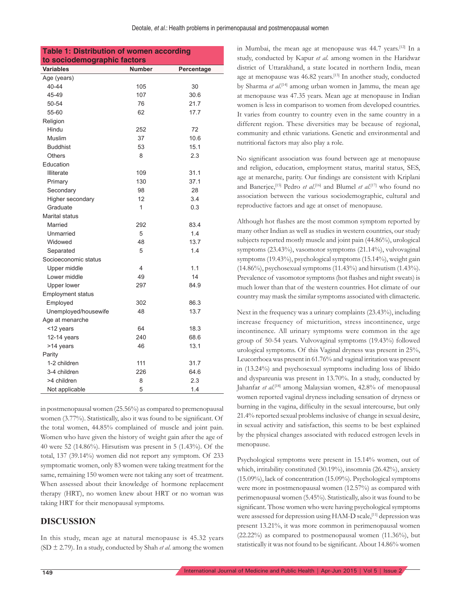| <b>Table 1: Distribution of women according</b> |               |            |  |  |
|-------------------------------------------------|---------------|------------|--|--|
| to sociodemographic factors                     |               |            |  |  |
| <b>Variables</b>                                | <b>Number</b> | Percentage |  |  |
| Age (years)                                     |               |            |  |  |
| 40-44                                           | 105           | 30         |  |  |
| 45-49                                           | 107           | 30.6       |  |  |
| 50-54                                           | 76            | 21.7       |  |  |
| 55-60                                           | 62            | 17.7       |  |  |
| Religion                                        |               |            |  |  |
| Hindu                                           | 252           | 72         |  |  |
| Muslim                                          | 37            | 10.6       |  |  |
| <b>Buddhist</b>                                 | 53            | 15.1       |  |  |
| <b>Others</b>                                   | 8             | 2.3        |  |  |
| Education                                       |               |            |  |  |
| <b>Illiterate</b>                               | 109           | 31.1       |  |  |
| Primary                                         | 130           | 37.1       |  |  |
| Secondary                                       | 98            | 28         |  |  |
| Higher secondary                                | 12            | 3.4        |  |  |
| Graduate                                        | 1             | 0.3        |  |  |
| Marital status                                  |               |            |  |  |
| Married                                         | 292           | 83.4       |  |  |
| Unmarried                                       | 5             | 1.4        |  |  |
| Widowed                                         | 48            | 13.7       |  |  |
| Separated                                       | 5             | 1.4        |  |  |
| Socioeconomic status                            |               |            |  |  |
| Upper middle                                    | 4             | 1.1        |  |  |
| Lower middle                                    | 49            | 14         |  |  |
| Upper lower                                     | 297           | 84.9       |  |  |
| <b>Employment status</b>                        |               |            |  |  |
| Employed                                        | 302           | 86.3       |  |  |
| Unemployed/housewife                            | 48            | 13.7       |  |  |
| Age at menarche                                 |               |            |  |  |
| <12 years                                       | 64            | 18.3       |  |  |
| 12-14 years                                     | 240           | 68.6       |  |  |
| >14 years                                       | 46            | 13.1       |  |  |
| Parity                                          |               |            |  |  |
| 1-2 children                                    | 111           | 31.7       |  |  |
| 3-4 children                                    | 226           | 64.6       |  |  |
| >4 children                                     | 8             | 2.3        |  |  |
| Not applicable                                  | 5             | 1.4        |  |  |

in postmenopausal women (25.56%) as compared to premenopausal women (3.77%). Statistically, also it was found to be significant. Of the total women, 44.85% complained of muscle and joint pain. Women who have given the history of weight gain after the age of 40 were 52 (14.86%). Hirsutism was present in 5 (1.43%). Of the total, 137 (39.14%) women did not report any symptom. Of 233 symptomatic women, only 83 women were taking treatment for the same, remaining 150 women were not taking any sort of treatment. When assessed about their knowledge of hormone replacement therapy (HRT), no women knew about HRT or no woman was taking HRT for their menopausal symptoms.

#### **DISCUSSION**

In this study, mean age at natural menopause is 45.32 years (SD ± 2.79). In a study, conducted by Shah *et al*. among the women in Mumbai, the mean age at menopause was 44.7 years.[12] In a study, conducted by Kapur *et al*. among women in the Haridwar district of Uttarakhand, a state located in northern India, mean age at menopause was 46.82 years.[13] In another study, conducted by Sharma *et al*. [14] among urban women in Jammu, the mean age at menopause was 47.35 years. Mean age at menopause in Indian women is less in comparison to women from developed countries. It varies from country to country even in the same country in a different region. These diversities may be because of regional, community and ethnic variations. Genetic and environmental and nutritional factors may also play a role.

No significant association was found between age at menopause and religion, education, employment status, marital status, SES, age at menarche, parity. Our findings are consistent with Kriplani and Banerjee,[15] Pedro *et al*. [16] and Blumel *et al*. [17] who found no association between the various sociodemographic, cultural and reproductive factors and age at onset of menopause.

Although hot flashes are the most common symptom reported by many other Indian as well as studies in western countries, our study subjects reported mostly muscle and joint pain (44.86%), urological symptoms (23.43%), vasomotor symptoms (21.14%), vulvovaginal symptoms (19.43%), psychological symptoms (15.14%), weight gain  $(14.86\%)$ , psychosexual symptoms  $(11.43\%)$  and hirsutism  $(1.43\%)$ . Prevalence of vasomotor symptoms (hot flashes and night sweats) is much lower than that of the western countries. Hot climate of our country may mask the similar symptoms associated with climacteric.

Next in the frequency was a urinary complaints (23.43%), including increase frequency of micturition, stress incontinence, urge incontinence. All urinary symptoms were common in the age group of 50-54 years. Vulvovaginal symptoms (19.43%) followed urological symptoms. Of this Vaginal dryness was present in 25%, Leucorrhoea was present in 61.76% and vaginal irritation was present in (13.24%) and psychosexual symptoms including loss of libido and dyspareunia was present in 13.70%. In a study, conducted by Jahanfar *et al*. [18] among Malaysian women, 42.8% of menopausal women reported vaginal dryness including sensation of dryness or burning in the vagina, difficulty in the sexual intercourse, but only 21.4% reported sexual problems inclusive of change in sexual desire, in sexual activity and satisfaction, this seems to be best explained by the physical changes associated with reduced estrogen levels in menopause.

Psychological symptoms were present in 15.14% women, out of which, irritability constituted (30.19%), insomnia (26.42%), anxiety (15.09%), lack of concentration (15.09%). Psychological symptoms were more in postmenopausal women (12.57%) as compared with perimenopausal women (5.45%). Statistically, also it was found to be significant. Those women who were having psychological symptoms were assessed for depression using HAM-D scale,<sup>[11]</sup> depression was present 13.21%, it was more common in perimenopausal women (22.22%) as compared to postmenopausal women (11.36%), but statistically it was not found to be significant. About 14.86% women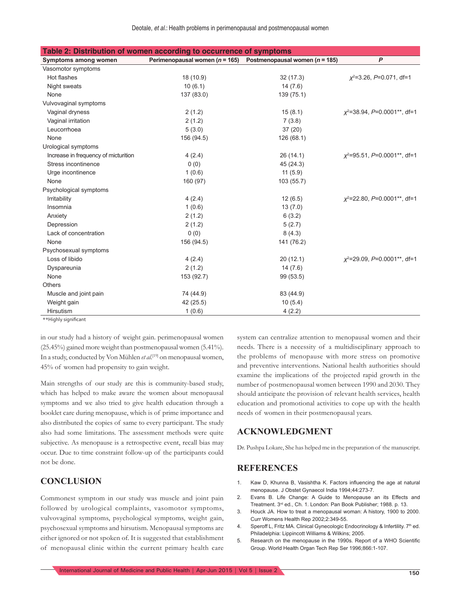| Table 2: Distribution of women according to occurrence of symptoms |                                    |                                    |                                       |  |
|--------------------------------------------------------------------|------------------------------------|------------------------------------|---------------------------------------|--|
| Symptoms among women                                               | Perimenopausal women ( $n = 165$ ) | Postmenopausal women ( $n = 185$ ) | $\boldsymbol{P}$                      |  |
| Vasomotor symptoms                                                 |                                    |                                    |                                       |  |
| Hot flashes                                                        | 18 (10.9)                          | 32(17.3)                           | $x^2$ =3.26, P=0.071, df=1            |  |
| Night sweats                                                       | 10(6.1)                            | 14(7.6)                            |                                       |  |
| None                                                               | 137 (83.0)                         | 139 (75.1)                         |                                       |  |
| Vulvovaginal symptoms                                              |                                    |                                    |                                       |  |
| Vaginal dryness                                                    | 2(1.2)                             | 15(8.1)                            | $x^2$ =38.94, P=0.0001**, df=1        |  |
| Vaginal irritation                                                 | 2(1.2)                             | 7(3.8)                             |                                       |  |
| Leucorrhoea                                                        | 5(3.0)                             | 37(20)                             |                                       |  |
| None                                                               | 156 (94.5)                         | 126 (68.1)                         |                                       |  |
| Urological symptoms                                                |                                    |                                    |                                       |  |
| Increase in frequency of micturition                               | 4(2.4)                             | 26(14.1)                           | $x^2 = 95.51$ , $P = 0.0001**$ , df=1 |  |
| Stress incontinence                                                | 0(0)                               | 45 (24.3)                          |                                       |  |
| Urge incontinence                                                  | 1(0.6)                             | 11(5.9)                            |                                       |  |
| None                                                               | 160 (97)                           | 103 (55.7)                         |                                       |  |
| Psychological symptoms                                             |                                    |                                    |                                       |  |
| Irritability                                                       | 4(2.4)                             | 12(6.5)                            | $x^2$ =22.80, P=0.0001**, df=1        |  |
| Insomnia                                                           | 1(0.6)                             | 13(7.0)                            |                                       |  |
| Anxiety                                                            | 2(1.2)                             | 6(3.2)                             |                                       |  |
| Depression                                                         | 2(1.2)                             | 5(2.7)                             |                                       |  |
| Lack of concentration                                              | 0(0)                               | 8(4.3)                             |                                       |  |
| None                                                               | 156 (94.5)                         | 141 (76.2)                         |                                       |  |
| Psychosexual symptoms                                              |                                    |                                    |                                       |  |
| Loss of libido                                                     | 4(2.4)                             | 20(12.1)                           | $x^2$ =29.09, P=0.0001**, df=1        |  |
| Dyspareunia                                                        | 2(1.2)                             | 14(7.6)                            |                                       |  |
| None                                                               | 153 (92.7)                         | 99 (53.5)                          |                                       |  |
| <b>Others</b>                                                      |                                    |                                    |                                       |  |
| Muscle and joint pain                                              | 74 (44.9)                          | 83 (44.9)                          |                                       |  |
| Weight gain                                                        | 42 (25.5)                          | 10(5.4)                            |                                       |  |
| <b>Hirsutism</b><br>ALLES TO THE CARD ARE A                        | 1(0.6)                             | 4(2.2)                             |                                       |  |

\*\*Highly significant

in our study had a history of weight gain. perimenopausal women (25.45%) gained more weight than postmenopausal women (5.41%). In a study, conducted by Von Mühlen *et al*. [19] on menopausal women, 45% of women had propensity to gain weight.

Main strengths of our study are this is community-based study, which has helped to make aware the women about menopausal symptoms and we also tried to give health education through a booklet care during menopause, which is of prime importance and also distributed the copies of same to every participant. The study also had some limitations. The assessment methods were quite subjective. As menopause is a retrospective event, recall bias may occur. Due to time constraint follow-up of the participants could not be done.

#### **CONCLUSION**

Commonest symptom in our study was muscle and joint pain followed by urological complaints, vasomotor symptoms, vulvovaginal symptoms, psychological symptoms, weight gain, psychosexual symptoms and hirsutism. Menopausal symptoms are either ignored or not spoken of. It is suggested that establishment of menopausal clinic within the current primary health care system can centralize attention to menopausal women and their needs. There is a necessity of a multidisciplinary approach to the problems of menopause with more stress on promotive and preventive interventions. National health authorities should examine the implications of the projected rapid growth in the number of postmenopausal women between 1990 and 2030. They should anticipate the provision of relevant health services, health education and promotional activities to cope up with the health needs of women in their postmenopausal years.

#### **ACKNOWLEDGMENT**

Dr. Pushpa Lokare, She has helped me in the preparation of the manuscript.

#### **REFERENCES**

- 1. Kaw D, Khunna B, Vasishtha K. Factors influencing the age at natural menopause. J Obstet Gynaecol India 1994;44:273-7.
- 2. Evans B. Life Change: A Guide to Menopause an its Effects and Treatment. 3rd ed., Ch. 1. London: Pan Book Publisher; 1988. p. 13.
- 3. Houck JA. How to treat a menopausal woman: A history, 1900 to 2000. Curr Womens Health Rep 2002;2:349-55.
- 4. Speroff L, Fritz MA. Clinical Gynecologic Endocrinology & Infertility. 7<sup>th</sup> ed. Philadelphia: Lippincott Williams & Wilkins; 2005.
- 5. Research on the menopause in the 1990s. Report of a WHO Scientific Group. World Health Organ Tech Rep Ser 1996;866:1-107.